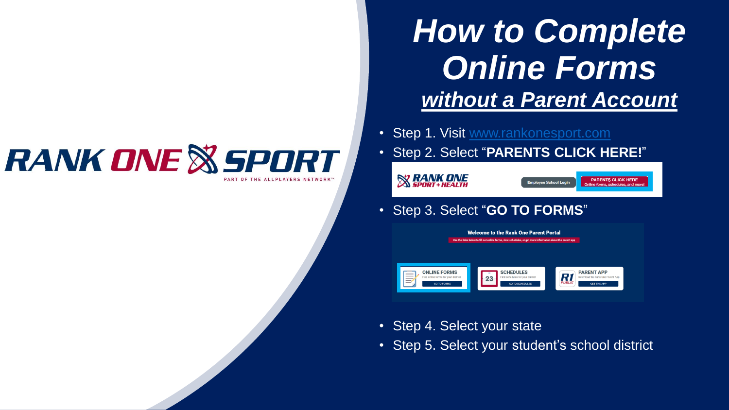# **RANK ONE & SPORT**

# **How to Complete** *Online Forms without a Parent Account*

**Employee School Login** 

**PARENTS CLICK HERE** 

ne forms, schedules, and

- Step 1. Visit [www.rankonesport.com](http://www.rankonesport.com/)
- Step 2. Select "**PARENTS CLICK HERE!**"

• Step 3. Select "**GO TO FORMS**"

**SANK ONE** 



- Step 4. Select your state
- Step 5. Select your student's school district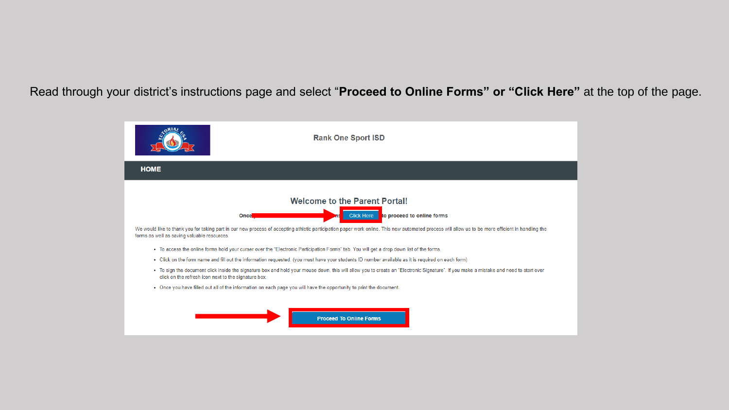Read through your district's instructions page and select "**Proceed to Online Forms" or "Click Here"** at the top of the page.

|                                                      | <b>Rank One Sport ISD</b>                                                                                                                                                                          |
|------------------------------------------------------|----------------------------------------------------------------------------------------------------------------------------------------------------------------------------------------------------|
| <b>HOME</b>                                          |                                                                                                                                                                                                    |
|                                                      | <b>Welcome to the Parent Portal!</b>                                                                                                                                                               |
|                                                      | to proceed to online forms<br><b>Click Here</b><br>Once                                                                                                                                            |
| forms as well as saving valuable resources.          | We would like to thank you for taking part in our new process of accepting athletic participation paper work online. This new automated process will allow us to be more efficient in handling the |
|                                                      | . To access the online forms hold your curser over the "Electronic Participation Forms" tab. You will get a drop down list of the forms.                                                           |
|                                                      | • Click on the form name and fill out the information requested. (you must have your students ID number available as it is required on each form)                                                  |
| click on the refresh icon next to the signature box. | • To sign the document click inside the signature box and hold your mouse down, this will allow you to create an "Electronic Signature". If you make a mistake and need to start over              |
|                                                      | . Once you have filled out all of the information on each page you will have the opportunity to print the document.                                                                                |
|                                                      | <b>Proceed To Online Forms</b>                                                                                                                                                                     |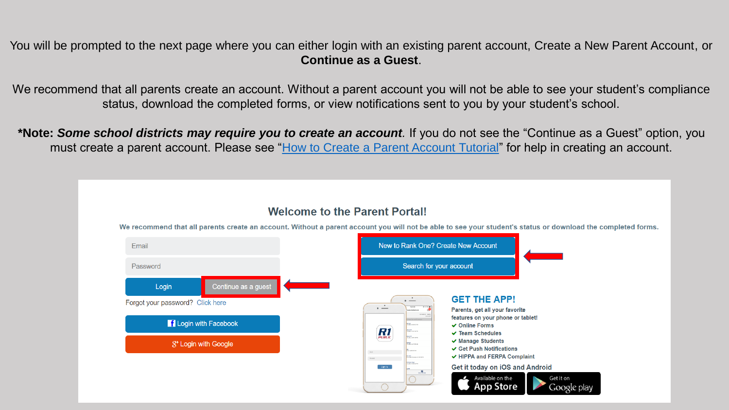You will be prompted to the next page where you can either login with an existing parent account, Create a New Parent Account, or **Continue as a Guest**.

We recommend that all parents create an account. Without a parent account you will not be able to see your student's compliance status, download the completed forms, or view notifications sent to you by your student's school.

**\*Note:** *Some school districts may require you to create an account.* If you do not see the "Continue as a Guest" option, you must create a parent account. Please see ["How to Create a Parent Account Tutorial](../Documents/Parent Tutorial - How to Complete Forms with an Account - Final.pdf)" for help in creating an account.

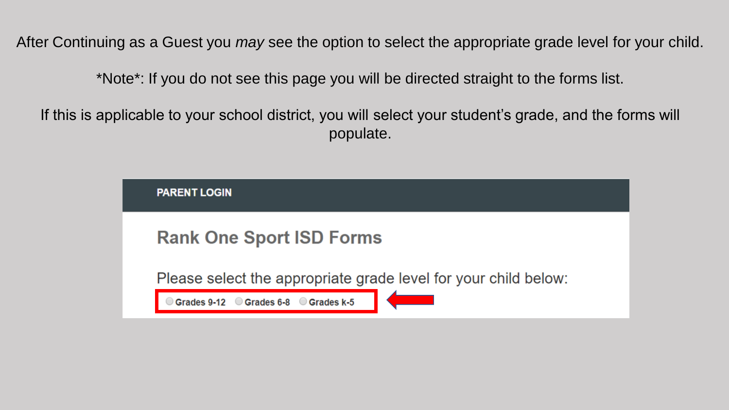After Continuing as a Guest you *may* see the option to select the appropriate grade level for your child.

\*Note\*: If you do not see this page you will be directed straight to the forms list.

If this is applicable to your school district, you will select your student's grade, and the forms will populate.

| <b>PARENT LOGIN</b>                                             |  |
|-----------------------------------------------------------------|--|
| <b>Rank One Sport ISD Forms</b>                                 |  |
| Please select the appropriate grade level for your child below: |  |
| Grades 6-8 Grades k-5<br>Grades 9-12                            |  |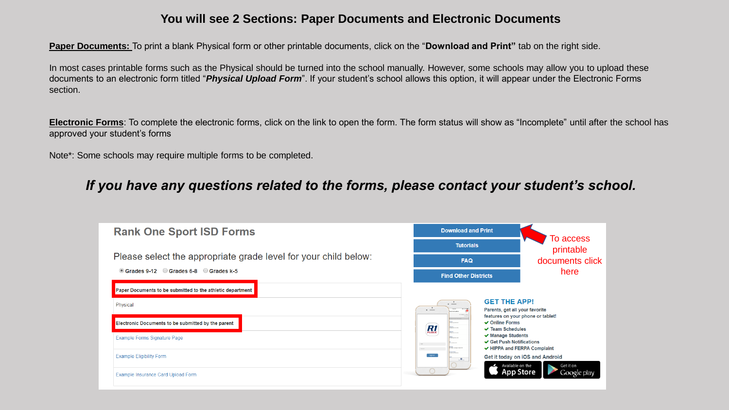#### **You will see 2 Sections: Paper Documents and Electronic Documents**

**Paper Documents:** To print a blank Physical form or other printable documents, click on the "**Download and Print"** tab on the right side.

In most cases printable forms such as the Physical should be turned into the school manually. However, some schools may allow you to upload these documents to an electronic form titled "*Physical Upload Form*". If your student's school allows this option, it will appear under the Electronic Forms section.

**Electronic Forms**: To complete the electronic forms, click on the link to open the form. The form status will show as "Incomplete" until after the school has approved your student's forms

Note\*: Some schools may require multiple forms to be completed.

### *If you have any questions related to the forms, please contact your student's school.*